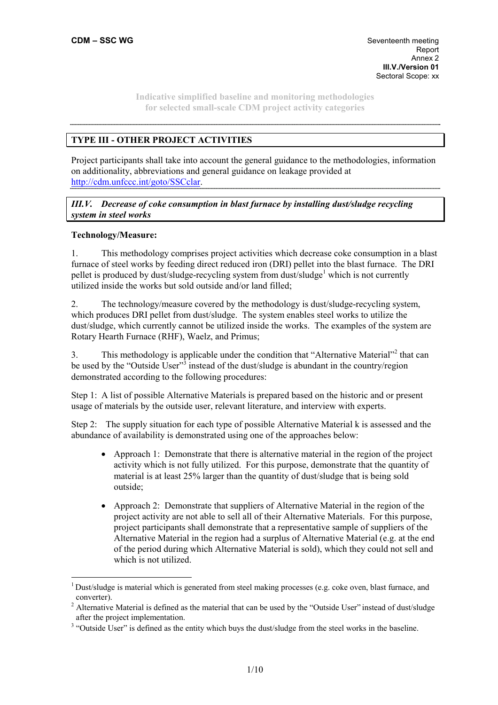# **TYPE III - OTHER PROJECT ACTIVITIES**

Project participants shall take into account the general guidance to the methodologies, information on additionality, abbreviations and general guidance on leakage provided at http://cdm.unfccc.int/goto/SSCclar.

*III.V. Decrease of coke consumption in blast furnace by installing dust/sludge recycling system in steel works* 

### **Technology/Measure:**

 $\overline{a}$ 

1. This methodology comprises project activities which decrease coke consumption in a blast furnace of steel works by feeding direct reduced iron (DRI) pellet into the blast furnace. The DRI pellet is produced by dust/sludge-recycling system from dust/sludge<sup>1</sup> which is not currently utilized inside the works but sold outside and/or land filled;

2. The technology/measure covered by the methodology is dust/sludge-recycling system, which produces DRI pellet from dust/sludge. The system enables steel works to utilize the dust/sludge, which currently cannot be utilized inside the works. The examples of the system are Rotary Hearth Furnace (RHF), Waelz, and Primus;

3. This methodology is applicable under the condition that "Alternative Material"<sup>2</sup> that can be used by the "Outside User"<sup>3</sup> instead of the dust/sludge is abundant in the country/region demonstrated according to the following procedures:

Step 1: A list of possible Alternative Materials is prepared based on the historic and or present usage of materials by the outside user, relevant literature, and interview with experts.

Step 2: The supply situation for each type of possible Alternative Material k is assessed and the abundance of availability is demonstrated using one of the approaches below:

- Approach 1: Demonstrate that there is alternative material in the region of the project activity which is not fully utilized. For this purpose, demonstrate that the quantity of material is at least 25% larger than the quantity of dust/sludge that is being sold outside;
- Approach 2: Demonstrate that suppliers of Alternative Material in the region of the project activity are not able to sell all of their Alternative Materials. For this purpose, project participants shall demonstrate that a representative sample of suppliers of the Alternative Material in the region had a surplus of Alternative Material (e.g. at the end of the period during which Alternative Material is sold), which they could not sell and which is not utilized.

 $1$  Dust/sludge is material which is generated from steel making processes (e.g. coke oven, blast furnace, and converter).

<sup>&</sup>lt;sup>2</sup> Alternative Material is defined as the material that can be used by the "Outside User" instead of dust/sludge after the project implementation.

<sup>&</sup>lt;sup>3</sup> "Outside User" is defined as the entity which buys the dust/sludge from the steel works in the baseline.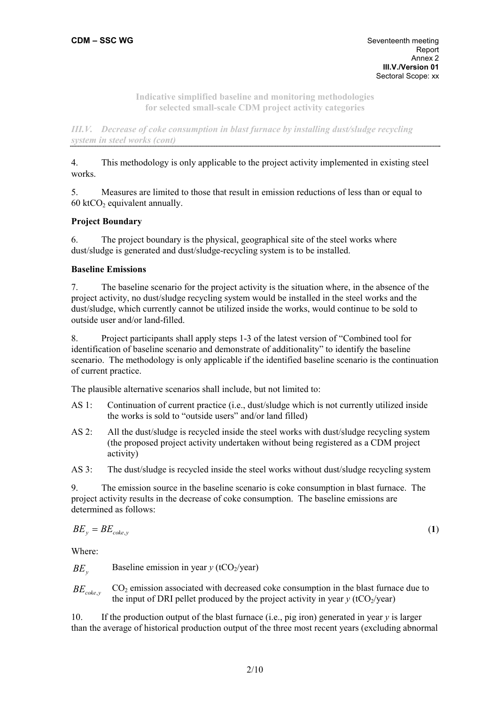*III.V. Decrease of coke consumption in blast furnace by installing dust/sludge recycling system in steel works (cont)* 

4. This methodology is only applicable to the project activity implemented in existing steel works.

5. Measures are limited to those that result in emission reductions of less than or equal to 60 ktCO<sub>2</sub> equivalent annually.

# **Project Boundary**

6. The project boundary is the physical, geographical site of the steel works where dust/sludge is generated and dust/sludge-recycling system is to be installed.

## **Baseline Emissions**

7. The baseline scenario for the project activity is the situation where, in the absence of the project activity, no dust/sludge recycling system would be installed in the steel works and the dust/sludge, which currently cannot be utilized inside the works, would continue to be sold to outside user and/or land-filled.

8. Project participants shall apply steps 1-3 of the latest version of "Combined tool for identification of baseline scenario and demonstrate of additionality" to identify the baseline scenario. The methodology is only applicable if the identified baseline scenario is the continuation of current practice.

The plausible alternative scenarios shall include, but not limited to:

- AS 1: Continuation of current practice (i.e., dust/sludge which is not currently utilized inside the works is sold to "outside users" and/or land filled)
- AS 2: All the dust/sludge is recycled inside the steel works with dust/sludge recycling system (the proposed project activity undertaken without being registered as a CDM project activity)

AS 3: The dust/sludge is recycled inside the steel works without dust/sludge recycling system

9. The emission source in the baseline scenario is coke consumption in blast furnace. The project activity results in the decrease of coke consumption. The baseline emissions are determined as follows:

$$
BE_y = BE_{\text{coke},y} \tag{1}
$$

Where:

*BE*<sub>*x*</sub> Baseline emission in year *y* (tCO<sub>2</sub>/year)

*BEcoke*,*<sup>y</sup>* CO2 emission associated with decreased coke consumption in the blast furnace due to the input of DRI pellet produced by the project activity in year  $y$  (tCO<sub>2</sub>/year)

10. If the production output of the blast furnace (i.e., pig iron) generated in year *y* is larger than the average of historical production output of the three most recent years (excluding abnormal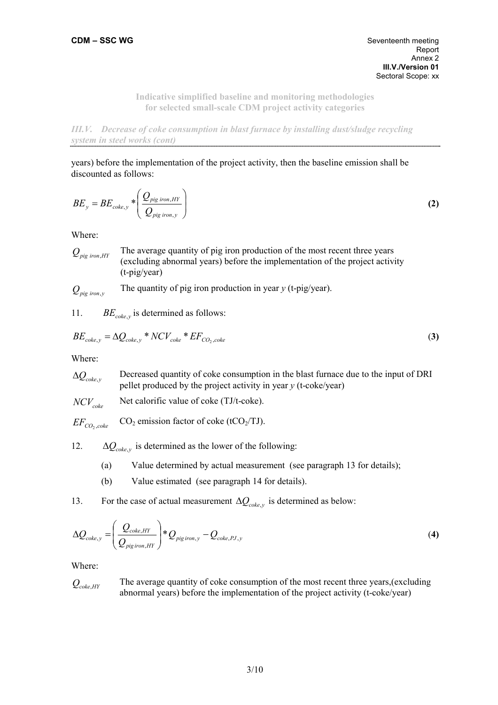*III.V. Decrease of coke consumption in blast furnace by installing dust/sludge recycling system in steel works (cont)*  

years) before the implementation of the project activity, then the baseline emission shall be discounted as follows:

$$
BE_{y} = BE_{\text{coke},y} * \left(\frac{Q_{\text{pig iron},HY}}{Q_{\text{pig iron},y}}\right)
$$
 (2)

Where:

 $Q_{\text{pio iron HY}}$  The average quantity of pig iron production of the most recent three years (excluding abnormal years) before the implementation of the project activity (t-pig/year)

$$
Q_{\text{pig iron,y}}
$$
 The quantity of pig iron production in year *y* (t-pig/year).

11. *BE*<sub>coke,*y*</sub> is determined as follows:

$$
BE_{\text{coke},y} = \Delta Q_{\text{coke},y} * NCV_{\text{coke}} * EF_{\text{CO}_2,\text{coke}}
$$
\n(3)

Where:

 $\Delta Q_{\text{coker}}$ <sup>*y*</sup> Decreased quantity of coke consumption in the blast furnace due to the input of DRI pellet produced by the project activity in year *y* (t-coke/year)

 $NCV_{\text{coker}}$  Net calorific value of coke (TJ/t-coke).

 $EF_{CO_2, coke}$  $CO<sub>2</sub>$  emission factor of coke (tCO<sub>2</sub>/TJ).

12.  $\Delta Q_{coker}$  is determined as the lower of the following:

- (a) Value determined by actual measurement (see paragraph 13 for details);
- (b) Value estimated (see paragraph 14 for details).

13. For the case of actual measurement  $\Delta Q_{coke}$ <sup>*y*</sup> is determined as below:

$$
\Delta Q_{coke,y} = \left(\frac{Q_{coke,HY}}{Q_{pig\,iron,HY}}\right) * Q_{pig\,iron,y} - Q_{coke,PJ,y}
$$
\n
$$
\tag{4}
$$

Where:

$$
Q_{\text{coke,HY}}
$$
 The average quantity of coke consumption of the most recent three years, (excluding abnormal years) before the implementation of the project activity (t-coke/year)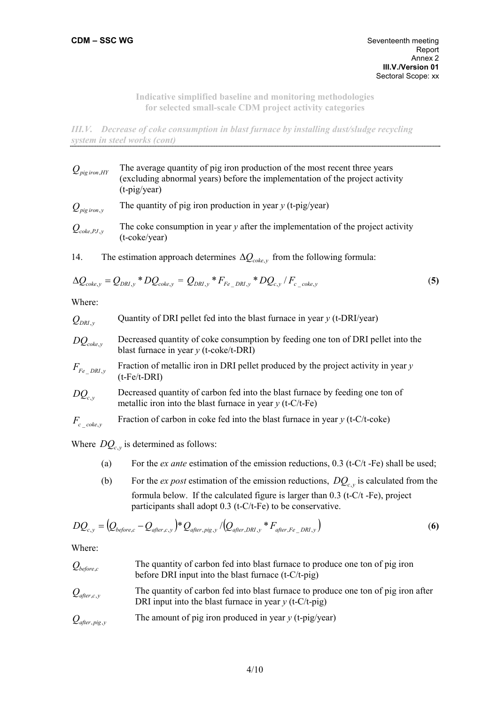*III.V. Decrease of coke consumption in blast furnace by installing dust/sludge recycling system in steel works (cont)*  

- $Q_{\text{pio iron HY}}$  The average quantity of pig iron production of the most recent three years (excluding abnormal years) before the implementation of the project activity (t-pig/year)  $Q_{\text{pig iron }y}$  The quantity of pig iron production in year *y* (t-pig/year)  $Q_{\text{coker},pJ,v}$  The coke consumption in year *y* after the implementation of the project activity (t-coke/year)
- 14. The estimation approach determines  $\Delta Q_{coke}$ , from the following formula:

$$
\Delta Q_{coke,y} = Q_{DRI,y} * DQ_{coke,y} = Q_{DRI,y} * F_{Fe\_DRI,y} * DQ_{c,y} / F_{c\_coke,y}
$$
\n(5)

Where:

 $Q_{DRI, y}$  Quantity of DRI pellet fed into the blast furnace in year *y* (t-DRI/year)

*DQ<sub>coke y</sub>* Decreased quantity of coke consumption by feeding one ton of DRI pellet into the blast furnace in year *y* (t-coke/t-DRI)

$$
F_{Fe\_DRI,y}
$$
 Fraction of metallic iron in DRI pellet produced by the project activity in year y (t-Fe/t-DRI)

$$
DQ_{c,y}
$$
 Decreased quantity of carbon fed into the blast furnace by feeding one ton of metallic iron into the blast furnace in year *y* (t-C/t-Fe)

$$
F_{c \, coke, y}
$$
 Fraction of carbon in coke fed into the blast furnace in year *y* (t-C/t-coke)

Where  $DQ_c$ <sub>*y*</sub> is determined as follows:

- (a) For the *ex ante* estimation of the emission reductions, 0.3 (t-C/t -Fe) shall be used;
- (b) For the *ex post* estimation of the emission reductions,  $DQ_c$ <sub>*y*</sub> is calculated from the formula below. If the calculated figure is larger than 0.3 (t-C/t -Fe), project participants shall adopt 0.3 (t-C/t-Fe) to be conservative.

$$
DQ_{c,y} = (Q_{before,c} - Q_{after,c,y})^* Q_{after, pig,y} / (Q_{after,DRI,y}^* * F_{after,Fe\_DRI,y})
$$
\n(6)

Where:

| $\mathcal{Q}_{{\it before},c}$    | The quantity of carbon fed into blast furnace to produce one ton of pig iron<br>before DRI input into the blast furnace $(t-C/t-pig)$          |
|-----------------------------------|------------------------------------------------------------------------------------------------------------------------------------------------|
| $\mathcal Q_{\rm after,c,\it v}$  | The quantity of carbon fed into blast furnace to produce one ton of pig iron after<br>DRI input into the blast furnace in year $y$ (t-C/t-pig) |
| $\mathcal{Q}_{\it after, pig, y}$ | The amount of pig iron produced in year $y$ (t-pig/year)                                                                                       |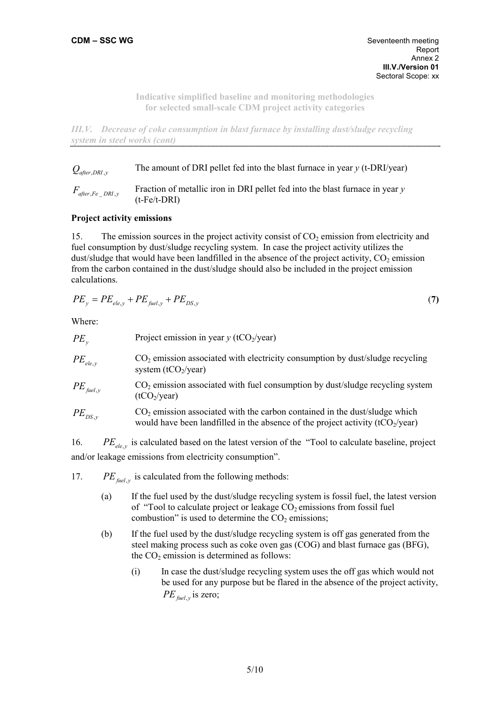*III.V. Decrease of coke consumption in blast furnace by installing dust/sludge recycling system in steel works (cont)* 

 $Q_{\text{after DRI }y}$  The amount of DRI pellet fed into the blast furnace in year *y* (t-DRI/year)

 $F_{after,Fe\,DRI, v}$  Fraction of metallic iron in DRI pellet fed into the blast furnace in year *y* (t-Fe/t-DRI)

### **Project activity emissions**

15. The emission sources in the project activity consist of  $CO<sub>2</sub>$  emission from electricity and fuel consumption by dust/sludge recycling system. In case the project activity utilizes the dust/sludge that would have been landfilled in the absence of the project activity,  $CO<sub>2</sub>$  emission from the carbon contained in the dust/sludge should also be included in the project emission calculations.

$$
PE_y = PE_{ele,y} + PE_{field,y} + PE_{DS,y}
$$
\n<sup>(7)</sup>

Where:

| $PE_{v}$             | Project emission in year $y$ (tCO <sub>2</sub> /year)                                                                                                           |
|----------------------|-----------------------------------------------------------------------------------------------------------------------------------------------------------------|
| $PE_{ele, v}$        | CO <sub>2</sub> emission associated with electricity consumption by dust/sludge recycling<br>system (tCO <sub>2</sub> /year)                                    |
| $PE_{\text{fuel,y}}$ | $CO2$ emission associated with fuel consumption by dust/sludge recycling system<br>(tCO <sub>2</sub> /year)                                                     |
| $PE_{DS, v}$         | $CO2$ emission associated with the carbon contained in the dust/sludge which<br>would have been landfilled in the absence of the project activity $(tCO2/year)$ |

16. *PE<sub>ele, y</sub>* is calculated based on the latest version of the "Tool to calculate baseline, project and/or leakage emissions from electricity consumption".

17. *PE* $_{\text{fuel }y}$  is calculated from the following methods:

- (a) If the fuel used by the dust/sludge recycling system is fossil fuel, the latest version of "Tool to calculate project or leakage  $CO<sub>2</sub>$  emissions from fossil fuel combustion" is used to determine the  $CO<sub>2</sub>$  emissions;
- (b) If the fuel used by the dust/sludge recycling system is off gas generated from the steel making process such as coke oven gas (COG) and blast furnace gas (BFG), the  $CO<sub>2</sub>$  emission is determined as follows:
	- (i) In case the dust/sludge recycling system uses the off gas which would not be used for any purpose but be flared in the absence of the project activity,  $PE_{\text{fuel, }v}$  is zero;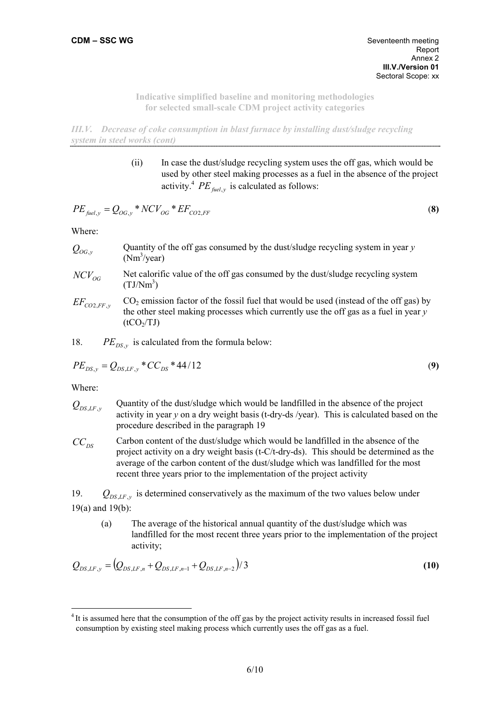*III.V. Decrease of coke consumption in blast furnace by installing dust/sludge recycling system in steel works (cont)* 

> (ii) In case the dust/sludge recycling system uses the off gas, which would be used by other steel making processes as a fuel in the absence of the project activity.<sup>4</sup> *PE*<sub>fuel</sub><sub>y</sub> is calculated as follows:

$$
PE_{\text{fuel,y}} = Q_{OG,y} * NCV_{OG} * EF_{CO2,FF}
$$
 (8)

Where:

- $Q_{OGy}$  Quantity of the off gas consumed by the dust/sludge recycling system in year *y*  $(Nm<sup>3</sup>/year)$
- *NCV*<sub>cc</sub> Net calorific value of the off gas consumed by the dust/sludge recycling system  $(TJ/Nm^3)$
- $EF_{CO2EF}$ <sup>*y*</sup>  $CO<sub>2</sub>$  emission factor of the fossil fuel that would be used (instead of the off gas) by the other steel making processes which currently use the off gas as a fuel in year *y*  $(tCO<sub>2</sub>/TJ)$

18. *PE*<sub>DS</sub> $_{v}$  is calculated from the formula below:

$$
PE_{DS,y} = Q_{DS,LF,y} * CC_{DS} * 44/12
$$
\n(9)

Where:

 $\overline{a}$ 

- $Q_{DS,LF, y}$  Quantity of the dust/sludge which would be landfilled in the absence of the project activity in year *y* on a dry weight basis (t-dry-ds /year). This is calculated based on the procedure described in the paragraph 19
- $CC_{DS}$  Carbon content of the dust/sludge which would be landfilled in the absence of the project activity on a dry weight basis (t-C/t-dry-ds). This should be determined as the average of the carbon content of the dust/sludge which was landfilled for the most recent three years prior to the implementation of the project activity

19.  $Q_{DS,LF, y}$  is determined conservatively as the maximum of the two values below under 19(a) and 19(b):

(a) The average of the historical annual quantity of the dust/sludge which was landfilled for the most recent three years prior to the implementation of the project activity;

$$
Q_{DS,LF,y} = (Q_{DS,LF,n} + Q_{DS,LF,n-1} + Q_{DS,LF,n-2})/3
$$
\n(10)

<sup>&</sup>lt;sup>4</sup> It is assumed here that the consumption of the off gas by the project activity results in increased fossil fuel consumption by existing steel making process which currently uses the off gas as a fuel.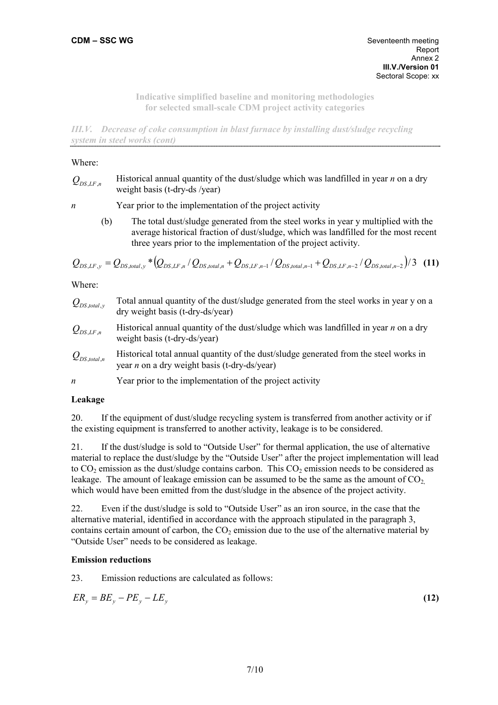*III.V. Decrease of coke consumption in blast furnace by installing dust/sludge recycling system in steel works (cont)* 

#### Where:

| $Q_{DS,LF,n}$ | Historical annual quantity of the dust/sludge which was landfilled in year $n$ on a dry |
|---------------|-----------------------------------------------------------------------------------------|
|               | weight basis (t-dry-ds /year)                                                           |

*n* Year prior to the implementation of the project activity

(b) The total dust/sludge generated from the steel works in year y multiplied with the average historical fraction of dust/sludge, which was landfilled for the most recent three years prior to the implementation of the project activity.

$$
Q_{DS,LF,y} = Q_{DS,total,y} * (Q_{DS,LF,n} / Q_{DS,total,n} + Q_{DS,LF,n-1} / Q_{DS,total,n-1} + Q_{DS,LF,n-2} / Q_{DS,total,n-2}) / 3 \quad (11)
$$

Where:

- *Q<sub>DS</sub>* total, *y* Total annual quantity of the dust/sludge generated from the steel works in year y on a dry weight basis (t-dry-ds/year)
- $Q_{DS,LF,n}$  Historical annual quantity of the dust/sludge which was landfilled in year *n* on a dry weight basis (t-dry-ds/year)
- $Q_{DS\ total}$ <sup>n</sup> Historical total annual quantity of the dust/sludge generated from the steel works in year *n* on a dry weight basis (t-dry-ds/year)
- *n* Year prior to the implementation of the project activity

#### **Leakage**

20. If the equipment of dust/sludge recycling system is transferred from another activity or if the existing equipment is transferred to another activity, leakage is to be considered.

21. If the dust/sludge is sold to "Outside User" for thermal application, the use of alternative material to replace the dust/sludge by the "Outside User" after the project implementation will lead to  $CO<sub>2</sub>$  emission as the dust/sludge contains carbon. This  $CO<sub>2</sub>$  emission needs to be considered as leakage. The amount of leakage emission can be assumed to be the same as the amount of  $CO<sub>2</sub>$ which would have been emitted from the dust/sludge in the absence of the project activity.

22. Even if the dust/sludge is sold to "Outside User" as an iron source, in the case that the alternative material, identified in accordance with the approach stipulated in the paragraph 3, contains certain amount of carbon, the  $CO<sub>2</sub>$  emission due to the use of the alternative material by "Outside User" needs to be considered as leakage.

## **Emission reductions**

23. Emission reductions are calculated as follows:

$$
ER_y = BE_y - PE_y - LE_y \tag{12}
$$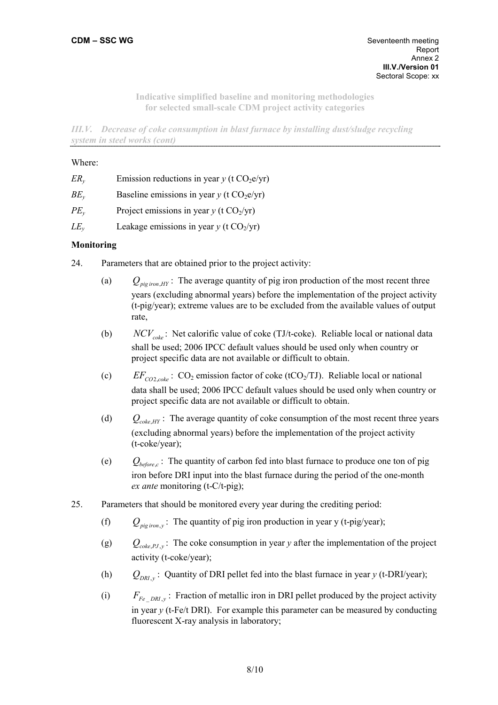*III.V. Decrease of coke consumption in blast furnace by installing dust/sludge recycling system in steel works (cont)* 

#### Where:

| $ER_{v}$ | Emission reductions in year y (t $CO2e/yr$ )            |
|----------|---------------------------------------------------------|
| $BE_v$   | Baseline emissions in year $y$ (t CO <sub>2</sub> e/yr) |
| $PE_{v}$ | Project emissions in year $y$ (t CO <sub>2</sub> /yr)   |
| $LE_v$   | Leakage emissions in year $y$ (t $CO2/yr$ )             |

## **Monitoring**

- 24. Parameters that are obtained prior to the project activity:
	- (a)  $Q_{piq}$   $H_Y$ : The average quantity of pig iron production of the most recent three years (excluding abnormal years) before the implementation of the project activity (t-pig/year); extreme values are to be excluded from the available values of output rate,
	- (b) *NCV<sub>coke</sub>*: Net calorific value of coke (TJ/t-coke). Reliable local or national data shall be used; 2006 IPCC default values should be used only when country or project specific data are not available or difficult to obtain.
	- (c)  $EF_{CO2, \ncoker}$ : CO<sub>2</sub> emission factor of coke (tCO<sub>2</sub>/TJ). Reliable local or national data shall be used; 2006 IPCC default values should be used only when country or project specific data are not available or difficult to obtain.
	- (d)  $Q_{coke\,HY}$ : The average quantity of coke consumption of the most recent three years (excluding abnormal years) before the implementation of the project activity (t-coke/year);
	- (e)  $Q_{before\ c}$ : The quantity of carbon fed into blast furnace to produce one ton of pig iron before DRI input into the blast furnace during the period of the one-month *ex ante* monitoring (t-C/t-pig);
- 25. Parameters that should be monitored every year during the crediting period:
	- (f)  $Q_{p}$  *iron*<sub>y</sub>: The quantity of pig iron production in year y (t-pig/year);
	- (g)  $Q_{coke, PJ, y}$ : The coke consumption in year *y* after the implementation of the project activity (t-coke/year);
	- (h)  $Q_{DRI}$ , : Quantity of DRI pellet fed into the blast furnace in year *y* (t-DRI/year);
	- (i)  $F_{Fe-DRI,y}$ : Fraction of metallic iron in DRI pellet produced by the project activity in year *y* (t-Fe/t DRI). For example this parameter can be measured by conducting fluorescent X-ray analysis in laboratory;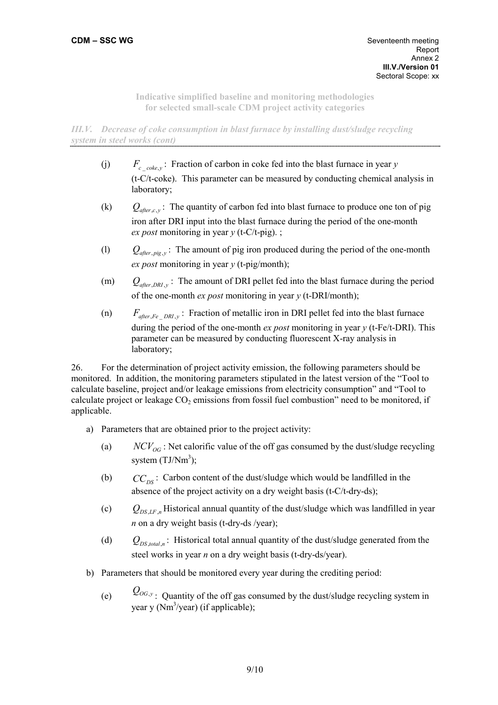*III.V. Decrease of coke consumption in blast furnace by installing dust/sludge recycling system in steel works (cont)* 

- (j)  $F_{c, \ncokew}$ : Fraction of carbon in coke fed into the blast furnace in year *y* (t-C/t-coke). This parameter can be measured by conducting chemical analysis in laboratory;
- (k)  $Q_{\text{after }c,v}$ : The quantity of carbon fed into blast furnace to produce one ton of pig iron after DRI input into the blast furnace during the period of the one-month *ex post* monitoring in year *y* (t-C/t-pig). ;
- (l)  $Q_{after, \, \text{pig}, \, \text{y}}$ : The amount of pig iron produced during the period of the one-month *ex post* monitoring in year *y* (t-pig/month);
- (m)  $Q_{after\,DRI\,v}$ : The amount of DRI pellet fed into the blast furnace during the period of the one-month *ex post* monitoring in year *y* (t-DRI/month);
- (n)  $F_{after,Fe-DRL, y}$ : Fraction of metallic iron in DRI pellet fed into the blast furnace during the period of the one-month *ex post* monitoring in year *y* (t-Fe/t-DRI). This parameter can be measured by conducting fluorescent X-ray analysis in laboratory;

26. For the determination of project activity emission, the following parameters should be monitored. In addition, the monitoring parameters stipulated in the latest version of the "Tool to calculate baseline, project and/or leakage emissions from electricity consumption" and "Tool to calculate project or leakage  $CO<sub>2</sub>$  emissions from fossil fuel combustion" need to be monitored, if applicable.

- a) Parameters that are obtained prior to the project activity:
	- (a)  $NCV_{OG}$ : Net calorific value of the off gas consumed by the dust/sludge recycling system  $(TJ/Nm^3)$ ;
	- (b)  $CC_{DS}$ : Carbon content of the dust/sludge which would be landfilled in the absence of the project activity on a dry weight basis (t-C/t-dry-ds);
	- (c)  $Q_{DS LF n}$  Historical annual quantity of the dust/sludge which was landfilled in year *n* on a dry weight basis (t-dry-ds /year);
	- (d)  $Q_{DS, total, n}$ : Historical total annual quantity of the dust/sludge generated from the steel works in year *n* on a dry weight basis (t-dry-ds/year).
- b) Parameters that should be monitored every year during the crediting period:
	- (e)  $Q_{OG,y}$ : Quantity of the off gas consumed by the dust/sludge recycling system in year y  $(Nm^3$ /year) (if applicable);